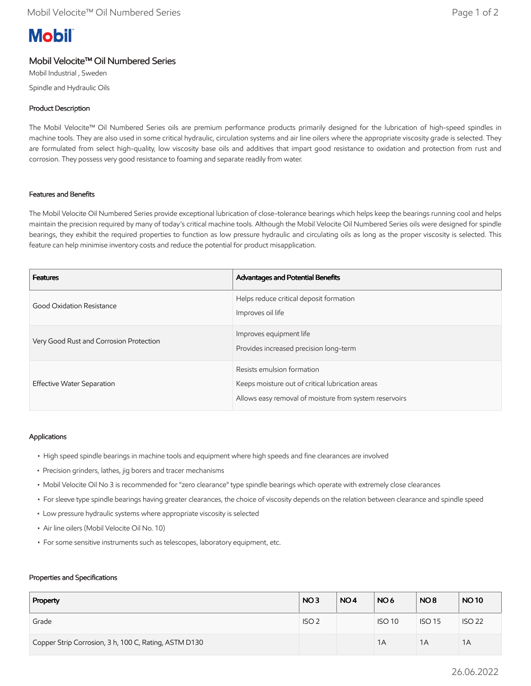# **Mobil**

# Mobil Velocite™ Oil Numbered Series

Mobil Industrial , Sweden Spindle and Hydraulic Oils

# Product Description

The Mobil Velocite™ Oil Numbered Series oils are premium performance products primarily designed for the lubrication of high-speed spindles in machine tools. They are also used in some critical hydraulic, circulation systems and air line oilers where the appropriate viscosity grade is selected. They are formulated from select high-quality, low viscosity base oils and additives that impart good resistance to oxidation and protection from rust and corrosion. They possess very good resistance to foaming and separate readily from water.

## Features and Benefits

The Mobil Velocite Oil Numbered Series provide exceptional lubrication of close-tolerance bearings which helps keep the bearings running cool and helps maintain the precision required by many of today's critical machine tools. Although the Mobil Velocite Oil Numbered Series oils were designed for spindle bearings, they exhibit the required properties to function as low pressure hydraulic and circulating oils as long as the proper viscosity is selected. This feature can help minimise inventory costs and reduce the potential for product misapplication.

| <b>Features</b>                         | Advantages and Potential Benefits                                                                                                        |
|-----------------------------------------|------------------------------------------------------------------------------------------------------------------------------------------|
| Good Oxidation Resistance               | Helps reduce critical deposit formation<br>Improves oil life                                                                             |
| Very Good Rust and Corrosion Protection | Improves equipment life<br>Provides increased precision long-term                                                                        |
| Effective Water Separation              | Resists emulsion formation<br>Keeps moisture out of critical lubrication areas<br>Allows easy removal of moisture from system reservoirs |

## Applications

- High speed spindle bearings in machine tools and equipment where high speeds and fine clearances are involved
- Precision grinders, lathes, jig borers and tracer mechanisms
- Mobil Velocite Oil No 3 is recommended for "zero clearance" type spindle bearings which operate with extremely close clearances
- For sleeve type spindle bearings having greater clearances, the choice of viscosity depends on the relation between clearance and spindle speed
- Low pressure hydraulic systems where appropriate viscosity is selected
- Air line oilers (Mobil Velocite Oil No. 10)
- For some sensitive instruments such as telescopes, laboratory equipment, etc.

#### Properties and Specifications

| Property                                              | NO <sub>3</sub>  | NO <sub>4</sub> | NO <sub>6</sub> | NO <sub>8</sub> | <b>NO10</b>   |
|-------------------------------------------------------|------------------|-----------------|-----------------|-----------------|---------------|
| Grade                                                 | ISO <sub>2</sub> |                 | <b>ISO 10</b>   | <b>ISO 15</b>   | <b>ISO 22</b> |
| Copper Strip Corrosion, 3 h, 100 C, Rating, ASTM D130 |                  |                 | 1A              | 1A              | 1A            |